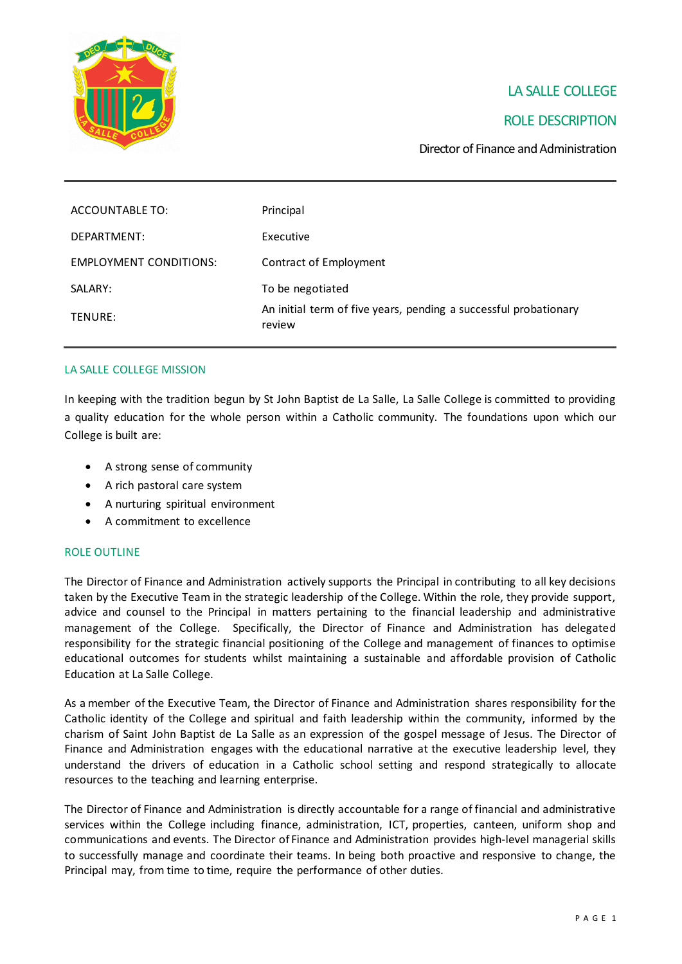

# LA SALLE COLLEGE

## ROLE DESCRIPTION

Director of Finance and Administration

| ACCOUNTABLE TO:        | Principal                                                                  |
|------------------------|----------------------------------------------------------------------------|
| DEPARTMENT:            | Executive                                                                  |
| EMPLOYMENT CONDITIONS: | Contract of Employment                                                     |
| SALARY:                | To be negotiated                                                           |
| TENURE:                | An initial term of five years, pending a successful probationary<br>review |

## LA SALLE COLLEGE MISSION

In keeping with the tradition begun by St John Baptist de La Salle, La Salle College is committed to providing a quality education for the whole person within a Catholic community. The foundations upon which our College is built are:

- A strong sense of community
- A rich pastoral care system
- A nurturing spiritual environment
- A commitment to excellence

#### ROLE OUTLINE

The Director of Finance and Administration actively supports the Principal in contributing to all key decisions taken by the Executive Team in the strategic leadership of the College. Within the role, they provide support, advice and counsel to the Principal in matters pertaining to the financial leadership and administrative management of the College. Specifically, the Director of Finance and Administration has delegated responsibility for the strategic financial positioning of the College and management of finances to optimise educational outcomes for students whilst maintaining a sustainable and affordable provision of Catholic Education at La Salle College.

As a member of the Executive Team, the Director of Finance and Administration shares responsibility for the Catholic identity of the College and spiritual and faith leadership within the community, informed by the charism of Saint John Baptist de La Salle as an expression of the gospel message of Jesus. The Director of Finance and Administration engages with the educational narrative at the executive leadership level, they understand the drivers of education in a Catholic school setting and respond strategically to allocate resources to the teaching and learning enterprise.

The Director of Finance and Administration is directly accountable for a range of financial and administrative services within the College including finance, administration, ICT, properties, canteen, uniform shop and communications and events. The Director of Finance and Administration provides high-level managerial skills to successfully manage and coordinate their teams. In being both proactive and responsive to change, the Principal may, from time to time, require the performance of other duties.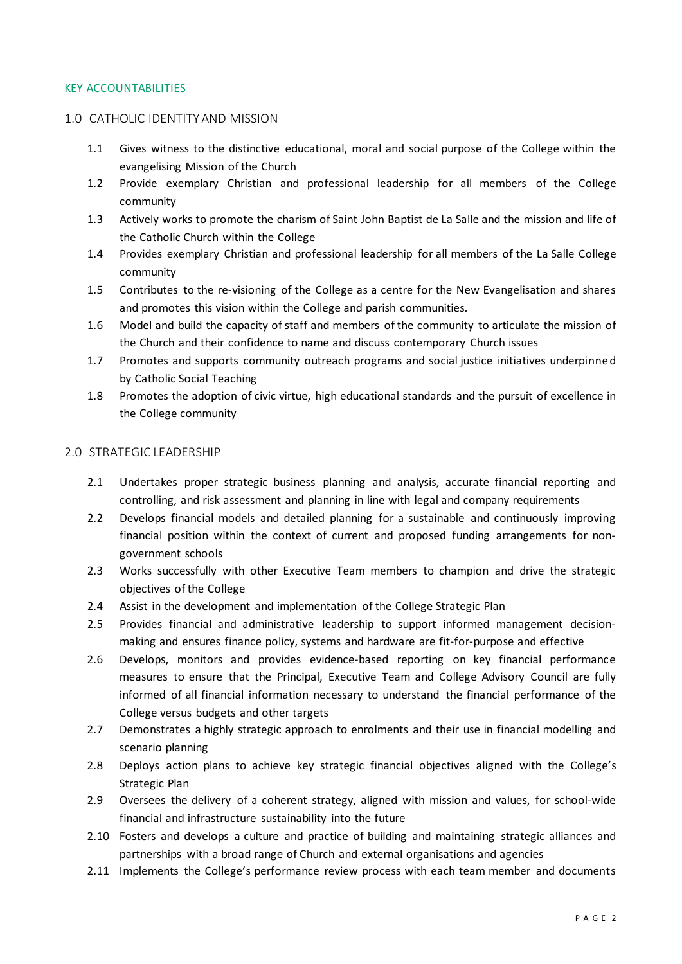#### KEY ACCOUNTABILITIES

## 1.0 CATHOLIC IDENTITY AND MISSION

- 1.1 Gives witness to the distinctive educational, moral and social purpose of the College within the evangelising Mission of the Church
- 1.2 Provide exemplary Christian and professional leadership for all members of the College community
- 1.3 Actively works to promote the charism of Saint John Baptist de La Salle and the mission and life of the Catholic Church within the College
- 1.4 Provides exemplary Christian and professional leadership for all members of the La Salle College community
- 1.5 Contributes to the re-visioning of the College as a centre for the New Evangelisation and shares and promotes this vision within the College and parish communities.
- 1.6 Model and build the capacity of staff and members of the community to articulate the mission of the Church and their confidence to name and discuss contemporary Church issues
- 1.7 Promotes and supports community outreach programs and social justice initiatives underpinne d by Catholic Social Teaching
- 1.8 Promotes the adoption of civic virtue, high educational standards and the pursuit of excellence in the College community

### 2.0 STRATEGIC LEADERSHIP

- 2.1 Undertakes proper strategic business planning and analysis, accurate financial reporting and controlling, and risk assessment and planning in line with legal and company requirements
- 2.2 Develops financial models and detailed planning for a sustainable and continuously improving financial position within the context of current and proposed funding arrangements for nongovernment schools
- 2.3 Works successfully with other Executive Team members to champion and drive the strategic objectives of the College
- 2.4 Assist in the development and implementation of the College Strategic Plan
- 2.5 Provides financial and administrative leadership to support informed management decisionmaking and ensures finance policy, systems and hardware are fit-for-purpose and effective
- 2.6 Develops, monitors and provides evidence-based reporting on key financial performance measures to ensure that the Principal, Executive Team and College Advisory Council are fully informed of all financial information necessary to understand the financial performance of the College versus budgets and other targets
- 2.7 Demonstrates a highly strategic approach to enrolments and their use in financial modelling and scenario planning
- 2.8 Deploys action plans to achieve key strategic financial objectives aligned with the College's Strategic Plan
- 2.9 Oversees the delivery of a coherent strategy, aligned with mission and values, for school-wide financial and infrastructure sustainability into the future
- 2.10 Fosters and develops a culture and practice of building and maintaining strategic alliances and partnerships with a broad range of Church and external organisations and agencies
- 2.11 Implements the College's performance review process with each team member and documents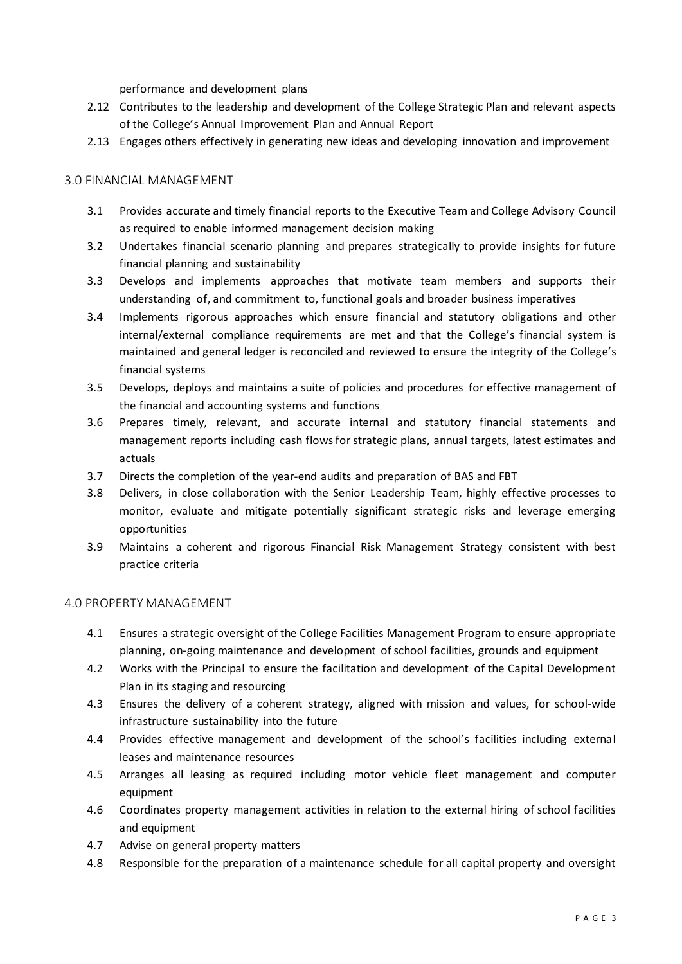performance and development plans

- 2.12 Contributes to the leadership and development of the College Strategic Plan and relevant aspects of the College's Annual Improvement Plan and Annual Report
- 2.13 Engages others effectively in generating new ideas and developing innovation and improvement

## 3.0 FINANCIAL MANAGEMENT

- 3.1 Provides accurate and timely financial reports to the Executive Team and College Advisory Council as required to enable informed management decision making
- 3.2 Undertakes financial scenario planning and prepares strategically to provide insights for future financial planning and sustainability
- 3.3 Develops and implements approaches that motivate team members and supports their understanding of, and commitment to, functional goals and broader business imperatives
- 3.4 Implements rigorous approaches which ensure financial and statutory obligations and other internal/external compliance requirements are met and that the College's financial system is maintained and general ledger is reconciled and reviewed to ensure the integrity of the College's financial systems
- 3.5 Develops, deploys and maintains a suite of policies and procedures for effective management of the financial and accounting systems and functions
- 3.6 Prepares timely, relevant, and accurate internal and statutory financial statements and management reports including cash flows for strategic plans, annual targets, latest estimates and actuals
- 3.7 Directs the completion of the year-end audits and preparation of BAS and FBT
- 3.8 Delivers, in close collaboration with the Senior Leadership Team, highly effective processes to monitor, evaluate and mitigate potentially significant strategic risks and leverage emerging opportunities
- 3.9 Maintains a coherent and rigorous Financial Risk Management Strategy consistent with best practice criteria

## 4.0 PROPERTY MANAGEMENT

- 4.1 Ensures a strategic oversight of the College Facilities Management Program to ensure appropriate planning, on-going maintenance and development of school facilities, grounds and equipment
- 4.2 Works with the Principal to ensure the facilitation and development of the Capital Development Plan in its staging and resourcing
- 4.3 Ensures the delivery of a coherent strategy, aligned with mission and values, for school-wide infrastructure sustainability into the future
- 4.4 Provides effective management and development of the school's facilities including external leases and maintenance resources
- 4.5 Arranges all leasing as required including motor vehicle fleet management and computer equipment
- 4.6 Coordinates property management activities in relation to the external hiring of school facilities and equipment
- 4.7 Advise on general property matters
- 4.8 Responsible for the preparation of a maintenance schedule for all capital property and oversight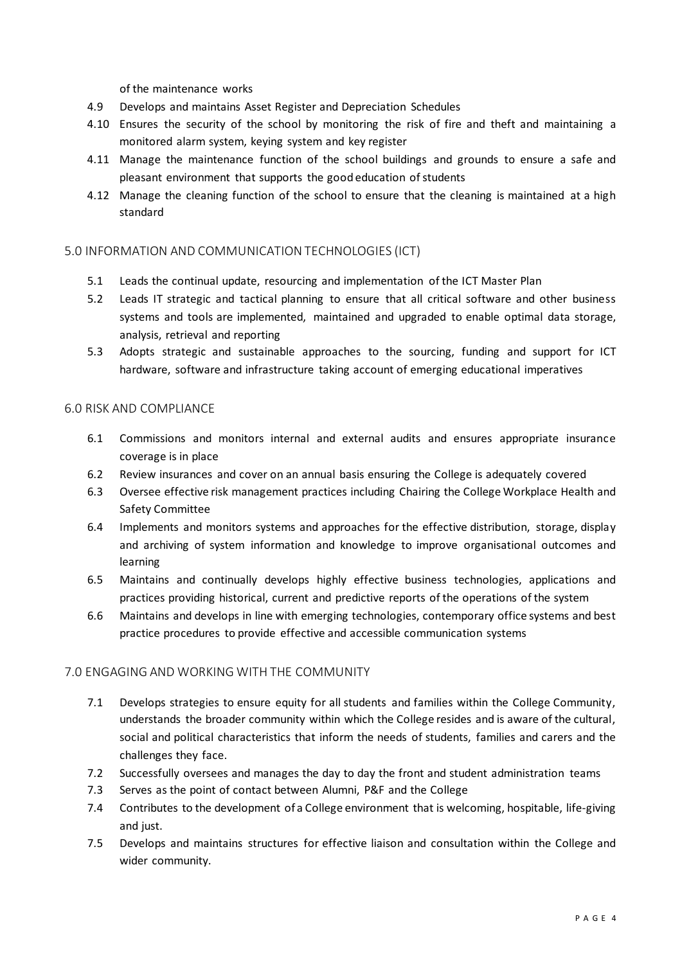of the maintenance works

- 4.9 Develops and maintains Asset Register and Depreciation Schedules
- 4.10 Ensures the security of the school by monitoring the risk of fire and theft and maintaining a monitored alarm system, keying system and key register
- 4.11 Manage the maintenance function of the school buildings and grounds to ensure a safe and pleasant environment that supports the good education of students
- 4.12 Manage the cleaning function of the school to ensure that the cleaning is maintained at a high standard

## 5.0 INFORMATION AND COMMUNICATION TECHNOLOGIES (ICT)

- 5.1 Leads the continual update, resourcing and implementation of the ICT Master Plan
- 5.2 Leads IT strategic and tactical planning to ensure that all critical software and other business systems and tools are implemented, maintained and upgraded to enable optimal data storage, analysis, retrieval and reporting
- 5.3 Adopts strategic and sustainable approaches to the sourcing, funding and support for ICT hardware, software and infrastructure taking account of emerging educational imperatives

## 6.0 RISK AND COMPLIANCE

- 6.1 Commissions and monitors internal and external audits and ensures appropriate insurance coverage is in place
- 6.2 Review insurances and cover on an annual basis ensuring the College is adequately covered
- 6.3 Oversee effective risk management practices including Chairing the College Workplace Health and Safety Committee
- 6.4 Implements and monitors systems and approaches for the effective distribution, storage, display and archiving of system information and knowledge to improve organisational outcomes and learning
- 6.5 Maintains and continually develops highly effective business technologies, applications and practices providing historical, current and predictive reports of the operations of the system
- 6.6 Maintains and develops in line with emerging technologies, contemporary office systems and best practice procedures to provide effective and accessible communication systems

## 7.0 ENGAGING AND WORKING WITH THE COMMUNITY

- 7.1 Develops strategies to ensure equity for all students and families within the College Community, understands the broader community within which the College resides and is aware of the cultural, social and political characteristics that inform the needs of students, families and carers and the challenges they face.
- 7.2 Successfully oversees and manages the day to day the front and student administration teams
- 7.3 Serves as the point of contact between Alumni, P&F and the College
- 7.4 Contributes to the development of a College environment that is welcoming, hospitable, life-giving and just.
- 7.5 Develops and maintains structures for effective liaison and consultation within the College and wider community.